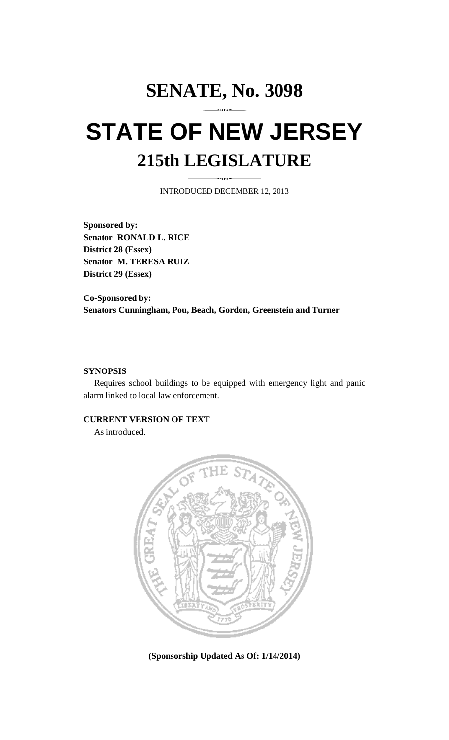## **SENATE, No. 3098 STATE OF NEW JERSEY 215th LEGISLATURE**

INTRODUCED DECEMBER 12, 2013

**Sponsored by: Senator RONALD L. RICE District 28 (Essex) Senator M. TERESA RUIZ District 29 (Essex)** 

**Co-Sponsored by: Senators Cunningham, Pou, Beach, Gordon, Greenstein and Turner** 

## **SYNOPSIS**

 Requires school buildings to be equipped with emergency light and panic alarm linked to local law enforcement.

## **CURRENT VERSION OF TEXT**

As introduced.



**(Sponsorship Updated As Of: 1/14/2014)**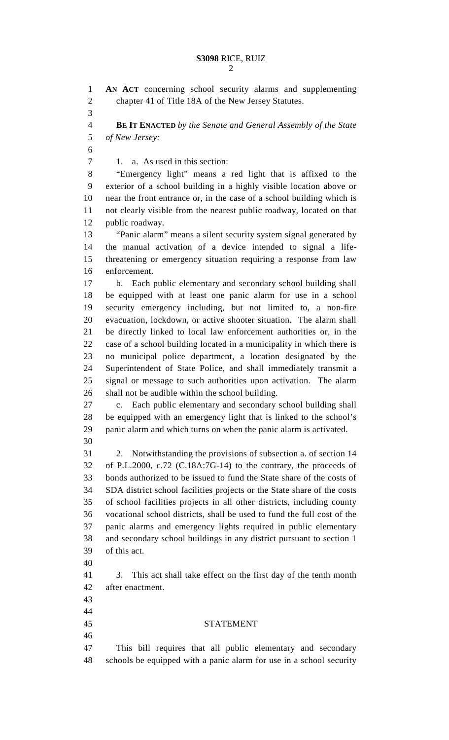2

1 **AN ACT** concerning school security alarms and supplementing 2 chapter 41 of Title 18A of the New Jersey Statutes. 3 4 **BE IT ENACTED** *by the Senate and General Assembly of the State*  5 *of New Jersey:* 6 7 1. a. As used in this section: 8 "Emergency light" means a red light that is affixed to the 9 exterior of a school building in a highly visible location above or 10 near the front entrance or, in the case of a school building which is 11 not clearly visible from the nearest public roadway, located on that 12 public roadway. 13 "Panic alarm" means a silent security system signal generated by 14 the manual activation of a device intended to signal a life-15 threatening or emergency situation requiring a response from law 16 enforcement. 17 b. Each public elementary and secondary school building shall 18 be equipped with at least one panic alarm for use in a school 19 security emergency including, but not limited to, a non-fire 20 evacuation, lockdown, or active shooter situation. The alarm shall 21 be directly linked to local law enforcement authorities or, in the 22 case of a school building located in a municipality in which there is 23 no municipal police department, a location designated by the 24 Superintendent of State Police, and shall immediately transmit a 25 signal or message to such authorities upon activation. The alarm 26 shall not be audible within the school building. 27 c. Each public elementary and secondary school building shall 28 be equipped with an emergency light that is linked to the school's 29 panic alarm and which turns on when the panic alarm is activated. 30 31 2. Notwithstanding the provisions of subsection a. of section 14 32 of P.L.2000, c.72 (C.18A:7G-14) to the contrary, the proceeds of 33 bonds authorized to be issued to fund the State share of the costs of 34 SDA district school facilities projects or the State share of the costs 35 of school facilities projects in all other districts, including county 36 vocational school districts, shall be used to fund the full cost of the 37 panic alarms and emergency lights required in public elementary 38 and secondary school buildings in any district pursuant to section 1 39 of this act. 40 41 3. This act shall take effect on the first day of the tenth month 42 after enactment. 43 44 45 STATEMENT 46 47 This bill requires that all public elementary and secondary 48 schools be equipped with a panic alarm for use in a school security